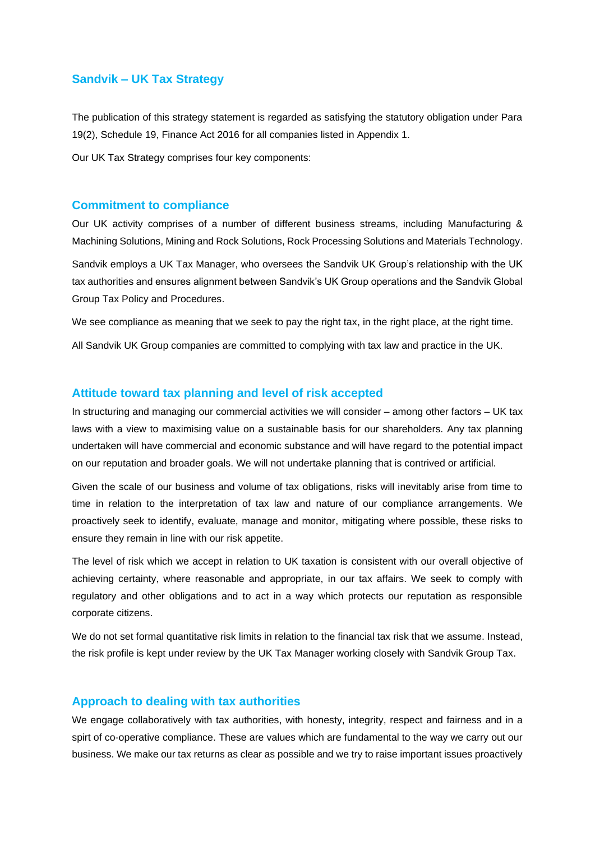# **Sandvik – UK Tax Strategy**

The publication of this strategy statement is regarded as satisfying the statutory obligation under Para 19(2), Schedule 19, Finance Act 2016 for all companies listed in Appendix 1.

Our UK Tax Strategy comprises four key components:

#### **Commitment to compliance**

Our UK activity comprises of a number of different business streams, including Manufacturing & Machining Solutions, Mining and Rock Solutions, Rock Processing Solutions and Materials Technology.

Sandvik employs a UK Tax Manager, who oversees the Sandvik UK Group's relationship with the UK tax authorities and ensures alignment between Sandvik's UK Group operations and the Sandvik Global Group Tax Policy and Procedures.

We see compliance as meaning that we seek to pay the right tax, in the right place, at the right time.

All Sandvik UK Group companies are committed to complying with tax law and practice in the UK.

### **Attitude toward tax planning and level of risk accepted**

In structuring and managing our commercial activities we will consider – among other factors – UK tax laws with a view to maximising value on a sustainable basis for our shareholders. Any tax planning undertaken will have commercial and economic substance and will have regard to the potential impact on our reputation and broader goals. We will not undertake planning that is contrived or artificial.

Given the scale of our business and volume of tax obligations, risks will inevitably arise from time to time in relation to the interpretation of tax law and nature of our compliance arrangements. We proactively seek to identify, evaluate, manage and monitor, mitigating where possible, these risks to ensure they remain in line with our risk appetite.

The level of risk which we accept in relation to UK taxation is consistent with our overall objective of achieving certainty, where reasonable and appropriate, in our tax affairs. We seek to comply with regulatory and other obligations and to act in a way which protects our reputation as responsible corporate citizens.

We do not set formal quantitative risk limits in relation to the financial tax risk that we assume. Instead, the risk profile is kept under review by the UK Tax Manager working closely with Sandvik Group Tax.

#### **Approach to dealing with tax authorities**

We engage collaboratively with tax authorities, with honesty, integrity, respect and fairness and in a spirt of co-operative compliance. These are values which are fundamental to the way we carry out our business. We make our tax returns as clear as possible and we try to raise important issues proactively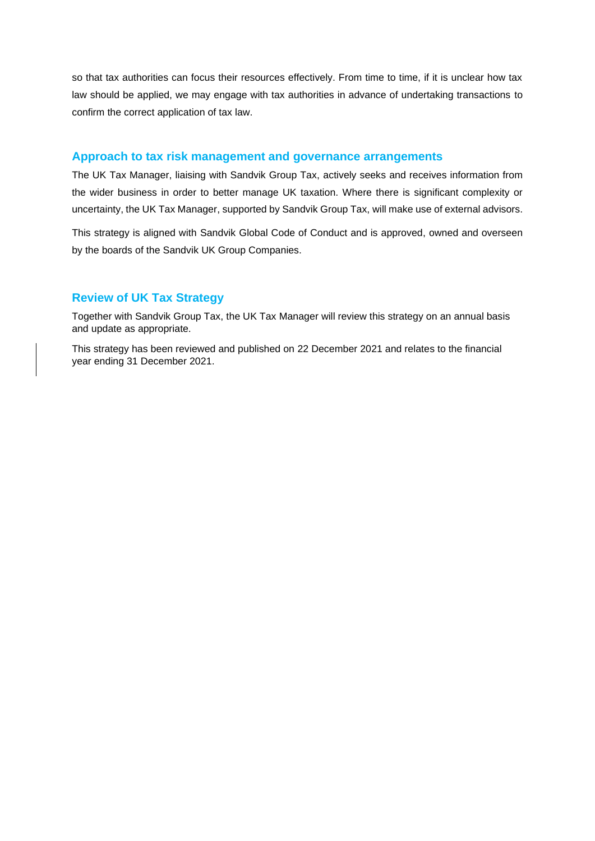so that tax authorities can focus their resources effectively. From time to time, if it is unclear how tax law should be applied, we may engage with tax authorities in advance of undertaking transactions to confirm the correct application of tax law.

#### **Approach to tax risk management and governance arrangements**

The UK Tax Manager, liaising with Sandvik Group Tax, actively seeks and receives information from the wider business in order to better manage UK taxation. Where there is significant complexity or uncertainty, the UK Tax Manager, supported by Sandvik Group Tax, will make use of external advisors.

This strategy is aligned with Sandvik Global Code of Conduct and is approved, owned and overseen by the boards of the Sandvik UK Group Companies.

## **Review of UK Tax Strategy**

Together with Sandvik Group Tax, the UK Tax Manager will review this strategy on an annual basis and update as appropriate.

This strategy has been reviewed and published on 22 December 2021 and relates to the financial year ending 31 December 2021.